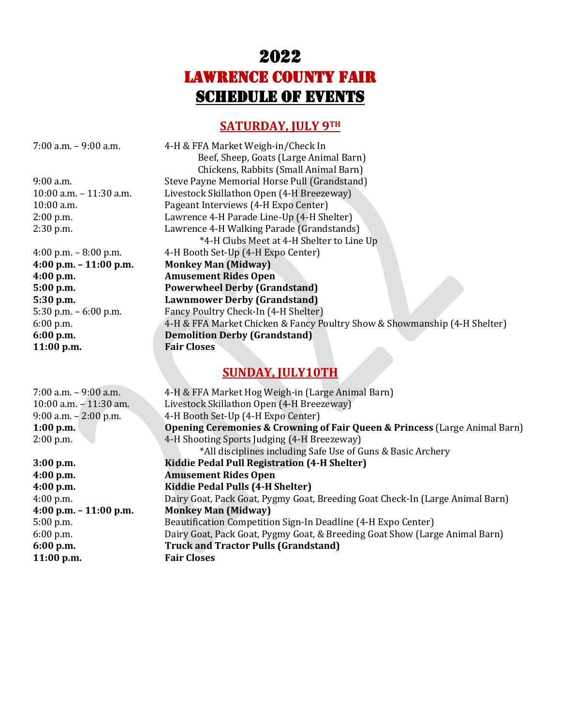# 2022 Lawrence County Fair **SCHEDULE OF EVENTS**

### **SATURDAY, JULY 9TH**

**11:00 p.m. Fair Closes**

**11:00 p.m. Fair Closes**

7:00 a.m. – 9:00 a.m. 4-H & FFA Market Weigh-in/Check In Beef, Sheep, Goats (Large Animal Barn) Chickens, Rabbits (Small Animal Barn) 9:00 a.m. Steve Payne Memorial Horse Pull (Grandstand) 10:00 a.m. – 11:30 a.m. Livestock Skillathon Open (4-H Breezeway) 10:00 a.m. Pageant Interviews (4-H Expo Center) 2:00 p.m. Lawrence 4-H Parade Line-Up (4-H Shelter) 2:30 p.m. Lawrence 4-H Walking Parade (Grandstands) \*4-H Clubs Meet at 4-H Shelter to Line Up 4:00 p.m. – 8:00 p.m. 4-H Booth Set-Up (4-H Expo Center) **4:00 p.m. – 11:00 p.m. Monkey Man (Midway) 4:00 p.m. Amusement Rides Open 5:00 p.m. Powerwheel Derby (Grandstand) 5:30 p.m. Lawnmower Derby (Grandstand)** 5:30 p.m. – 6:00 p.m. Fancy Poultry Check-In (4-H Shelter) 6:00 p.m. 4-H & FFA Market Chicken & Fancy Poultry Show & Showmanship (4-H Shelter) **6:00 p.m. Demolition Derby (Grandstand)**

# **SUNDAY, JULY10TH**

7:00 a.m. – 9:00 a.m. 4-H & FFA Market Hog Weigh-in (Large Animal Barn) 10:00 a.m. – 11:30 am. Livestock Skillathon Open (4-H Breezeway) 9:00 a.m. – 2:00 p.m. 4-H Booth Set-Up (4-H Expo Center) **1:00 p.m. Opening Ceremonies & Crowning of Fair Queen & Princess** (Large Animal Barn) 2:00 p.m. 4-H Shooting Sports Judging (4-H Breezeway) \*All disciplines including Safe Use of Guns & Basic Archery **3:00 p.m. Kiddie Pedal Pull Registration (4-H Shelter) 4:00 p.m. Amusement Rides Open 4:00 p.m. Kiddie Pedal Pulls (4-H Shelter)** 4:00 p.m. Dairy Goat, Pack Goat, Pygmy Goat, Breeding Goat Check-In (Large Animal Barn) **4:00 p.m. – 11:00 p.m. Monkey Man (Midway)** 5:00 p.m. Beautification Competition Sign-In Deadline (4-H Expo Center) 6:00 p.m. Dairy Goat, Pack Goat, Pygmy Goat, & Breeding Goat Show (Large Animal Barn) **6:00 p.m. Truck and Tractor Pulls (Grandstand)**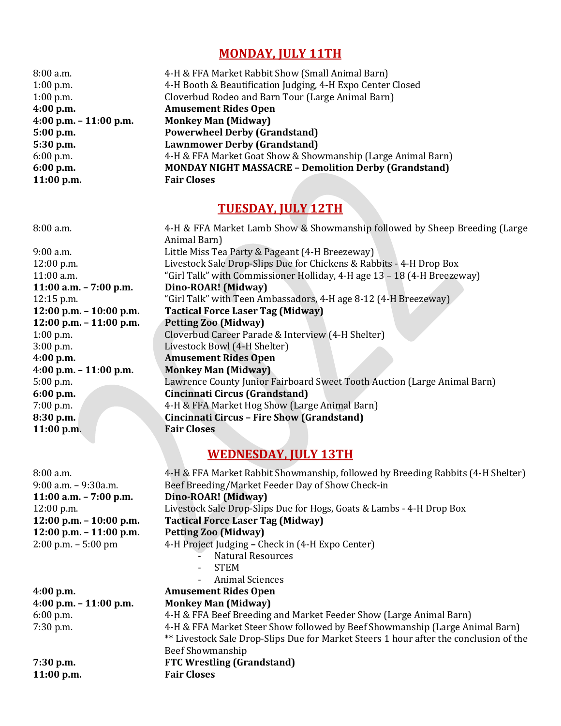## **MONDAY, JULY 11TH**

| 8:00 a.m.                | 4-H & FFA Market Rabbit Show (Small Animal Barn)             |
|--------------------------|--------------------------------------------------------------|
| $1:00$ p.m.              | 4-H Booth & Beautification Judging, 4-H Expo Center Closed   |
| $1:00$ p.m.              | Cloverbud Rodeo and Barn Tour (Large Animal Barn)            |
| 4:00 p.m.                | <b>Amusement Rides Open</b>                                  |
| 4:00 p.m. $- 11:00$ p.m. | <b>Monkey Man (Midway)</b>                                   |
| 5:00 p.m.                | <b>Powerwheel Derby (Grandstand)</b>                         |
| 5:30 p.m.                | <b>Lawnmower Derby (Grandstand)</b>                          |
| $6:00$ p.m.              | 4-H & FFA Market Goat Show & Showmanship (Large Animal Barn) |
| 6:00 p.m.                | <b>MONDAY NIGHT MASSACRE - Demolition Derby (Grandstand)</b> |
| $11:00$ p.m.             | <b>Fair Closes</b>                                           |

## **TUESDAY, JULY 12TH**

8:00 a.m. 4-H & FFA Market Lamb Show & Showmanship followed by Sheep Breeding (Large Animal Barn) 9:00 a.m. Little Miss Tea Party & Pageant (4-H Breezeway) 12:00 p.m. Livestock Sale Drop-Slips Due for Chickens & Rabbits - 4-H Drop Box 11:00 a.m. "Girl Talk" with Commissioner Holliday, 4-H age 13 – 18 (4-H Breezeway) **11:00 a.m. – 7:00 p.m. Dino-ROAR! (Midway)** 12:15 p.m. "Girl Talk" with Teen Ambassadors, 4-H age 8-12 (4-H Breezeway) **12:00 p.m. – 10:00 p.m. Tactical Force Laser Tag (Midway) 12:00 p.m. – 11:00 p.m. Petting Zoo (Midway)** 1:00 p.m. Cloverbud Career Parade & Interview (4-H Shelter) 3:00 p.m. Livestock Bowl (4-H Shelter) **4:00 p.m. Amusement Rides Open 4:00 p.m. – 11:00 p.m. Monkey Man (Midway)** 5:00 p.m. Lawrence County Junior Fairboard Sweet Tooth Auction (Large Animal Barn) **6:00 p.m. Cincinnati Circus (Grandstand)** 7:00 p.m. 4-H & FFA Market Hog Show (Large Animal Barn) **8:30 p.m. Cincinnati Circus – Fire Show (Grandstand) 11:00 p.m. Fair Closes**

#### **WEDNESDAY, JULY 13TH**

8:00 a.m. 4-H & FFA Market Rabbit Showmanship, followed by Breeding Rabbits (4-H Shelter) 9:00 a.m. – 9:30a.m. Beef Breeding/Market Feeder Day of Show Check-in **11:00 a.m. – 7:00 p.m. Dino-ROAR! (Midway)** 12:00 p.m. Livestock Sale Drop-Slips Due for Hogs, Goats & Lambs - 4-H Drop Box **12:00 p.m. – 10:00 p.m. Tactical Force Laser Tag (Midway) 12:00 p.m. – 11:00 p.m. Petting Zoo (Midway)** 2:00 p.m. – 5:00 pm 4-H Project Judging **–** Check in (4-H Expo Center) - Natural Resources - STEM - Animal Sciences **4:00 p.m. Amusement Rides Open 4:00 p.m. – 11:00 p.m. Monkey Man (Midway)** 6:00 p.m. 4-H & FFA Beef Breeding and Market Feeder Show (Large Animal Barn) 7:30 p.m. 4-H & FFA Market Steer Show followed by Beef Showmanship (Large Animal Barn) \*\* Livestock Sale Drop-Slips Due for Market Steers 1 hour after the conclusion of the Beef Showmanship **7:30 p.m. FTC Wrestling (Grandstand)**

**11:00 p.m. Fair Closes**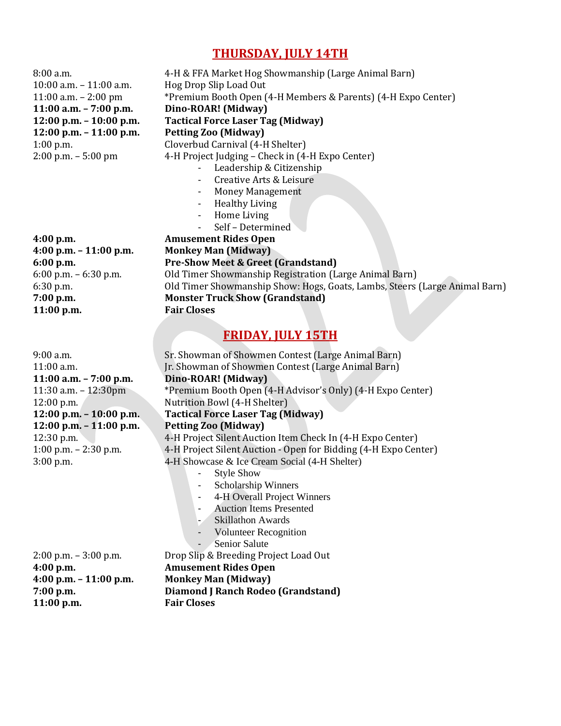#### **THURSDAY, JULY 14TH**

Leadership & Citizenship

Money Management Healthy Living - Home Living Self - Determined

8:00 a.m. 4-H & FFA Market Hog Showmanship (Large Animal Barn) 10:00 a.m. – 11:00 a.m. Hog Drop Slip Load Out 11:00 a.m. – 2:00 pm \*Premium Booth Open (4-H Members & Parents) (4-H Expo Center) **11:00 a.m. – 7:00 p.m. Dino-ROAR! (Midway) 12:00 p.m. – 10:00 p.m. Tactical Force Laser Tag (Midway) 12:00 p.m. – 11:00 p.m. Petting Zoo (Midway)** 1:00 p.m. Cloverbud Carnival (4-H Shelter) 2:00 p.m. – 5:00 pm 4-H Project Judging – Check in (4-H Expo Center) - Creative Arts & Leisure **4:00 p.m. Amusement Rides Open 4:00 p.m. – 11:00 p.m. Monkey Man (Midway)**

**6:00 p.m. Pre-Show Meet & Greet (Grandstand)** 6:00 p.m. – 6:30 p.m. Old Timer Showmanship Registration (Large Animal Barn) 6:30 p.m. Old Timer Showmanship Show: Hogs, Goats, Lambs, Steers (Large Animal Barn) **7:00 p.m. Monster Truck Show (Grandstand) 11:00 p.m. Fair Closes**

# **FRIDAY, JULY 15TH**

9:00 a.m. Sr. Showman of Showmen Contest (Large Animal Barn) 11:00 a.m. Jr. Showman of Showmen Contest (Large Animal Barn) 11:30 a.m. – 12:30pm \*Premium Booth Open (4-H Advisor's Only) (4-H Expo Center) 12:00 p.m. Nutrition Bowl (4-H Shelter) **12:00 p.m. – 10:00 p.m. Tactical Force Laser Tag (Midway)** 12:30 p.m. 4-H Project Silent Auction Item Check In (4-H Expo Center) 1:00 p.m. – 2:30 p.m. 4-H Project Silent Auction - Open for Bidding (4-H Expo Center) 3:00 p.m. 4-H Showcase & Ice Cream Social (4-H Shelter) Style Show - Scholarship Winners - 4-H Overall Project Winners - Auction Items Presented Skillathon Awards Volunteer Recognition Senior Salute

2:00 p.m. – 3:00 p.m. Drop Slip & Breeding Project Load Out **4:00 p.m. Amusement Rides Open 4:00 p.m. – 11:00 p.m. Monkey Man (Midway) 7:00 p.m. Diamond J Ranch Rodeo (Grandstand)**

**11:00 a.m. – 7:00 p.m. Dino-ROAR! (Midway) 12:00 p.m. – 11:00 p.m. Petting Zoo (Midway)**

**11:00 p.m. Fair Closes**